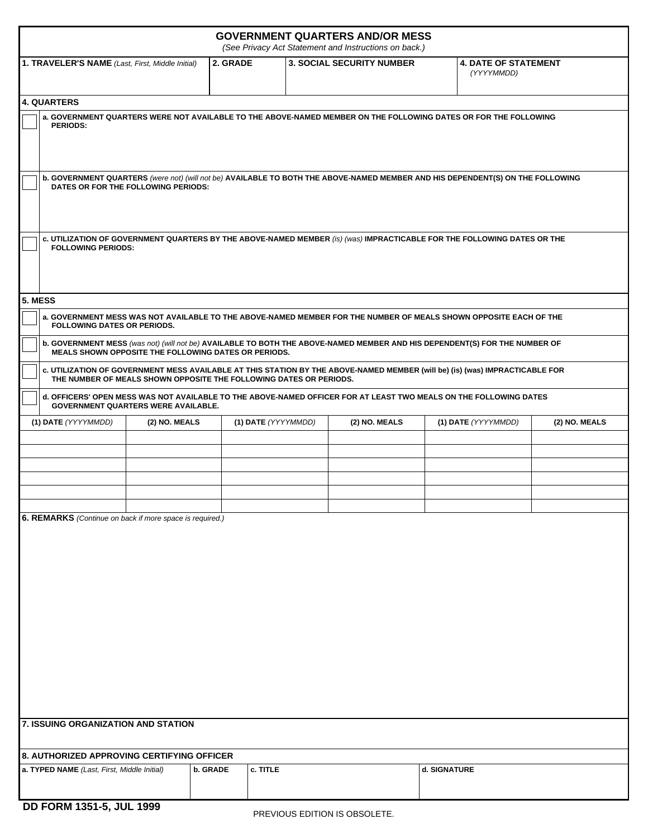| <b>GOVERNMENT QUARTERS AND/OR MESS</b><br>(See Privacy Act Statement and Instructions on back.)                                                                                                    |               |          |                     |                                  |                                           |               |
|----------------------------------------------------------------------------------------------------------------------------------------------------------------------------------------------------|---------------|----------|---------------------|----------------------------------|-------------------------------------------|---------------|
| 1. TRAVELER'S NAME (Last, First, Middle Initial)                                                                                                                                                   |               | 2. GRADE |                     | <b>3. SOCIAL SECURITY NUMBER</b> | <b>4. DATE OF STATEMENT</b><br>(YYYYMMDD) |               |
| <b>4. QUARTERS</b>                                                                                                                                                                                 |               |          |                     |                                  |                                           |               |
| a. GOVERNMENT QUARTERS WERE NOT AVAILABLE TO THE ABOVE-NAMED MEMBER ON THE FOLLOWING DATES OR FOR THE FOLLOWING<br><b>PERIODS:</b>                                                                 |               |          |                     |                                  |                                           |               |
| b. GOVERNMENT QUARTERS (were not) (will not be) AVAILABLE TO BOTH THE ABOVE-NAMED MEMBER AND HIS DEPENDENT(S) ON THE FOLLOWING<br>DATES OR FOR THE FOLLOWING PERIODS:                              |               |          |                     |                                  |                                           |               |
| c. UTILIZATION OF GOVERNMENT QUARTERS BY THE ABOVE-NAMED MEMBER (is) (was) IMPRACTICABLE FOR THE FOLLOWING DATES OR THE<br><b>FOLLOWING PERIODS:</b>                                               |               |          |                     |                                  |                                           |               |
| 5. MESS                                                                                                                                                                                            |               |          |                     |                                  |                                           |               |
| a. GOVERNMENT MESS WAS NOT AVAILABLE TO THE ABOVE-NAMED MEMBER FOR THE NUMBER OF MEALS SHOWN OPPOSITE EACH OF THE<br><b>FOLLOWING DATES OR PERIODS.</b>                                            |               |          |                     |                                  |                                           |               |
| b. GOVERNMENT MESS (was not) (will not be) AVAILABLE TO BOTH THE ABOVE-NAMED MEMBER AND HIS DEPENDENT(S) FOR THE NUMBER OF<br>MEALS SHOWN OPPOSITE THE FOLLOWING DATES OR PERIODS.                 |               |          |                     |                                  |                                           |               |
| c. UTILIZATION OF GOVERNMENT MESS AVAILABLE AT THIS STATION BY THE ABOVE-NAMED MEMBER (will be) (is) (was) IMPRACTICABLE FOR<br>THE NUMBER OF MEALS SHOWN OPPOSITE THE FOLLOWING DATES OR PERIODS. |               |          |                     |                                  |                                           |               |
| d. OFFICERS' OPEN MESS WAS NOT AVAILABLE TO THE ABOVE-NAMED OFFICER FOR AT LEAST TWO MEALS ON THE FOLLOWING DATES<br><b>GOVERNMENT QUARTERS WERE AVAILABLE.</b>                                    |               |          |                     |                                  |                                           |               |
| (1) DATE (YYYYMMDD)                                                                                                                                                                                | (2) NO. MEALS |          | (1) DATE (YYYYMMDD) | (2) NO. MEALS                    | (1) DATE (YYYYMMDD)                       | (2) NO. MEALS |
|                                                                                                                                                                                                    |               |          |                     |                                  |                                           |               |
|                                                                                                                                                                                                    |               |          |                     |                                  |                                           |               |
|                                                                                                                                                                                                    |               |          |                     |                                  |                                           |               |
|                                                                                                                                                                                                    |               |          |                     |                                  |                                           |               |
|                                                                                                                                                                                                    |               |          |                     |                                  |                                           |               |
| 6. REMARKS (Continue on back if more space is required.)                                                                                                                                           |               |          |                     |                                  |                                           |               |
|                                                                                                                                                                                                    |               |          |                     |                                  |                                           |               |
|                                                                                                                                                                                                    |               |          |                     |                                  |                                           |               |
|                                                                                                                                                                                                    |               |          |                     |                                  |                                           |               |
|                                                                                                                                                                                                    |               |          |                     |                                  |                                           |               |
| 7. ISSUING ORGANIZATION AND STATION                                                                                                                                                                |               |          |                     |                                  |                                           |               |
| 8. AUTHORIZED APPROVING CERTIFYING OFFICER                                                                                                                                                         |               |          |                     |                                  |                                           |               |
| a. TYPED NAME (Last, First, Middle Initial)                                                                                                                                                        | b. GRADE      |          | c. TITLE            |                                  | d. SIGNATURE                              |               |
| DD EODM 4954 E IIII 4000                                                                                                                                                                           |               |          |                     |                                  |                                           |               |